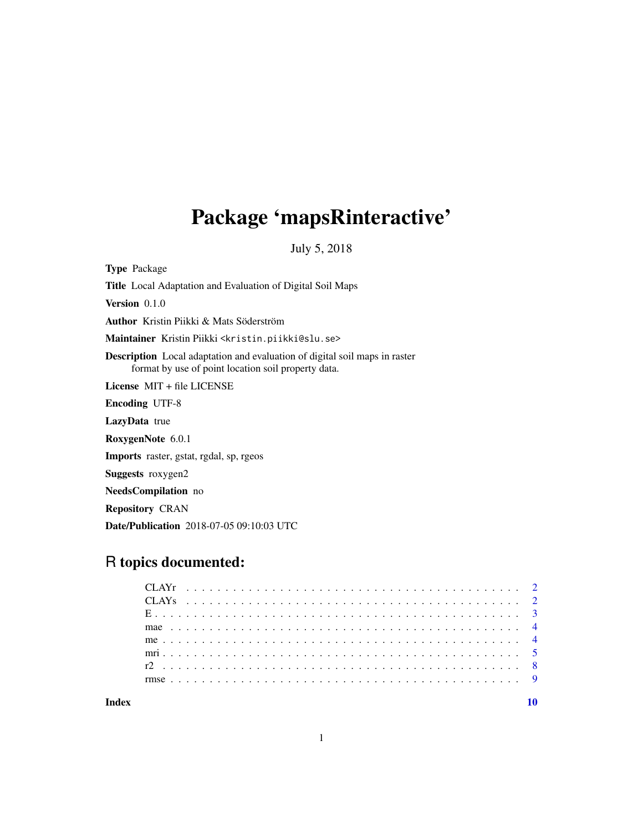## Package 'mapsRinteractive'

July 5, 2018

Type Package Title Local Adaptation and Evaluation of Digital Soil Maps Version 0.1.0 Author Kristin Piikki & Mats Söderström Maintainer Kristin Piikki <kristin.piikki@slu.se> Description Local adaptation and evaluation of digital soil maps in raster format by use of point location soil property data. License MIT + file LICENSE Encoding UTF-8 LazyData true RoxygenNote 6.0.1 Imports raster, gstat, rgdal, sp, rgeos Suggests roxygen2 NeedsCompilation no Repository CRAN Date/Publication 2018-07-05 09:10:03 UTC

### R topics documented:

| Index |  |  |  |  |  |  |  |  |  |  |  |  |  |  |  |  |  |  |  |  |  |  |
|-------|--|--|--|--|--|--|--|--|--|--|--|--|--|--|--|--|--|--|--|--|--|--|
|       |  |  |  |  |  |  |  |  |  |  |  |  |  |  |  |  |  |  |  |  |  |  |
|       |  |  |  |  |  |  |  |  |  |  |  |  |  |  |  |  |  |  |  |  |  |  |
|       |  |  |  |  |  |  |  |  |  |  |  |  |  |  |  |  |  |  |  |  |  |  |
|       |  |  |  |  |  |  |  |  |  |  |  |  |  |  |  |  |  |  |  |  |  |  |
|       |  |  |  |  |  |  |  |  |  |  |  |  |  |  |  |  |  |  |  |  |  |  |
|       |  |  |  |  |  |  |  |  |  |  |  |  |  |  |  |  |  |  |  |  |  |  |
|       |  |  |  |  |  |  |  |  |  |  |  |  |  |  |  |  |  |  |  |  |  |  |
|       |  |  |  |  |  |  |  |  |  |  |  |  |  |  |  |  |  |  |  |  |  |  |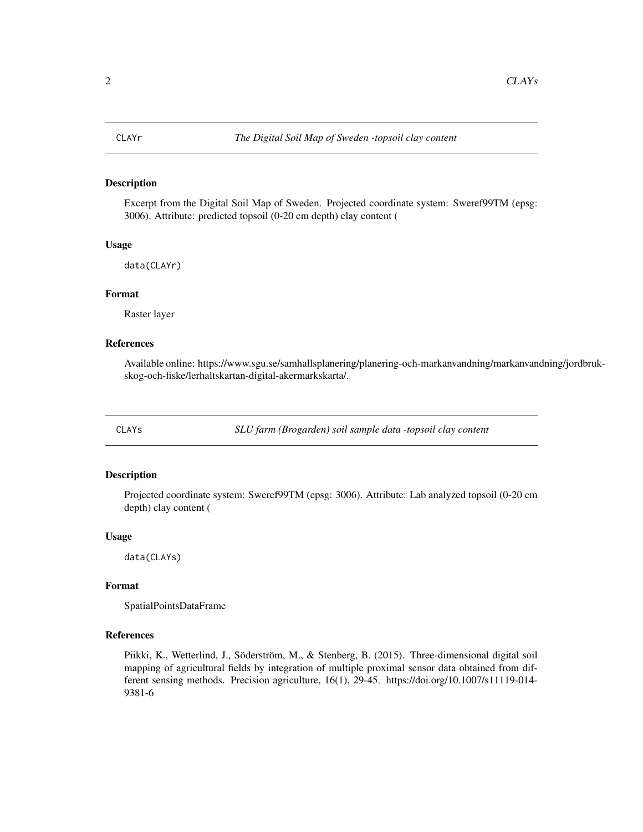<span id="page-1-0"></span>

Excerpt from the Digital Soil Map of Sweden. Projected coordinate system: Sweref99TM (epsg: 3006). Attribute: predicted topsoil (0-20 cm depth) clay content (

#### Usage

data(CLAYr)

#### Format

Raster layer

#### References

Available online: https://www.sgu.se/samhallsplanering/planering-och-markanvandning/markanvandning/jordbrukskog-och-fiske/lerhaltskartan-digital-akermarkskarta/.

CLAYs *SLU farm (Brogarden) soil sample data -topsoil clay content*

#### Description

Projected coordinate system: Sweref99TM (epsg: 3006). Attribute: Lab analyzed topsoil (0-20 cm depth) clay content (

#### Usage

data(CLAYs)

#### Format

SpatialPointsDataFrame

#### References

Piikki, K., Wetterlind, J., Söderström, M., & Stenberg, B. (2015). Three-dimensional digital soil mapping of agricultural fields by integration of multiple proximal sensor data obtained from different sensing methods. Precision agriculture, 16(1), 29-45. https://doi.org/10.1007/s11119-014- 9381-6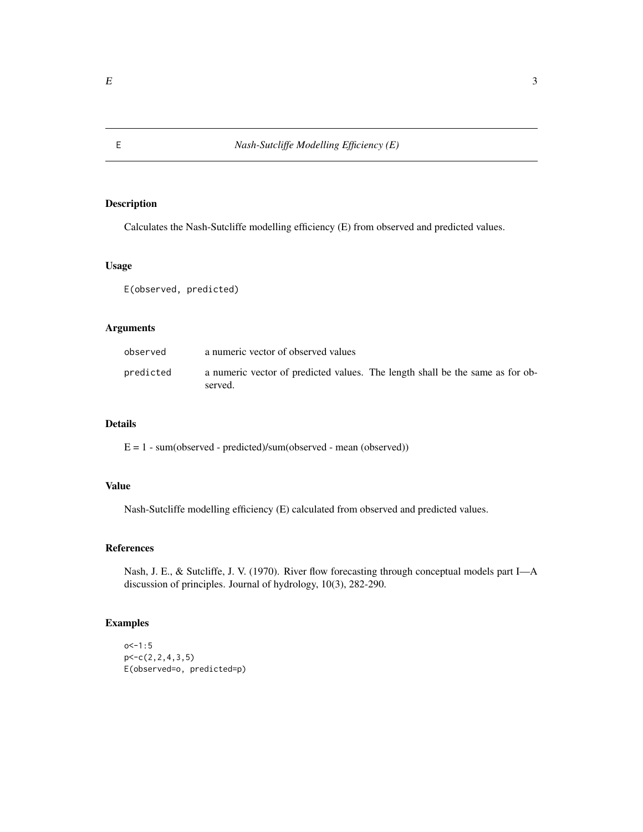Calculates the Nash-Sutcliffe modelling efficiency (E) from observed and predicted values.

#### Usage

E(observed, predicted)

#### Arguments

| observed  | a numeric vector of observed values                                                      |
|-----------|------------------------------------------------------------------------------------------|
| predicted | a numeric vector of predicted values. The length shall be the same as for ob-<br>served. |

#### Details

E = 1 - sum(observed - predicted)/sum(observed - mean (observed))

#### Value

Nash-Sutcliffe modelling efficiency (E) calculated from observed and predicted values.

#### References

Nash, J. E., & Sutcliffe, J. V. (1970). River flow forecasting through conceptual models part I—A discussion of principles. Journal of hydrology, 10(3), 282-290.

#### Examples

```
o < -1:5p<-c(2,2,4,3,5)
E(observed=o, predicted=p)
```
<span id="page-2-0"></span>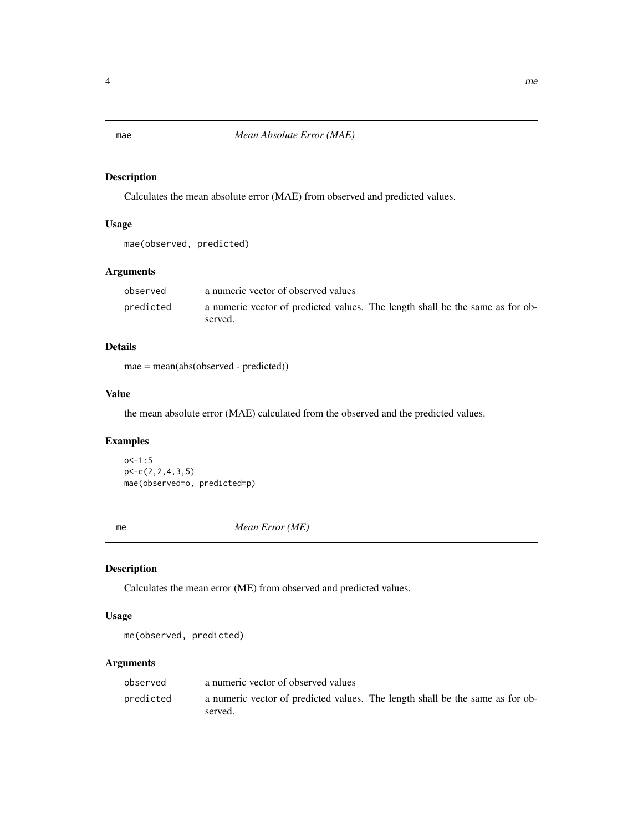<span id="page-3-0"></span>

Calculates the mean absolute error (MAE) from observed and predicted values.

#### Usage

mae(observed, predicted)

#### Arguments

| observed  | a numeric vector of observed values                                                      |
|-----------|------------------------------------------------------------------------------------------|
| predicted | a numeric vector of predicted values. The length shall be the same as for ob-<br>served. |

#### Details

mae = mean(abs(observed - predicted))

#### Value

the mean absolute error (MAE) calculated from the observed and the predicted values.

#### Examples

 $o < -1:5$  $p < -c(2, 2, 4, 3, 5)$ mae(observed=o, predicted=p)

me *Mean Error (ME)*

#### Description

Calculates the mean error (ME) from observed and predicted values.

#### Usage

me(observed, predicted)

#### Arguments

| observed  | a numeric vector of observed values                                                      |
|-----------|------------------------------------------------------------------------------------------|
| predicted | a numeric vector of predicted values. The length shall be the same as for ob-<br>served. |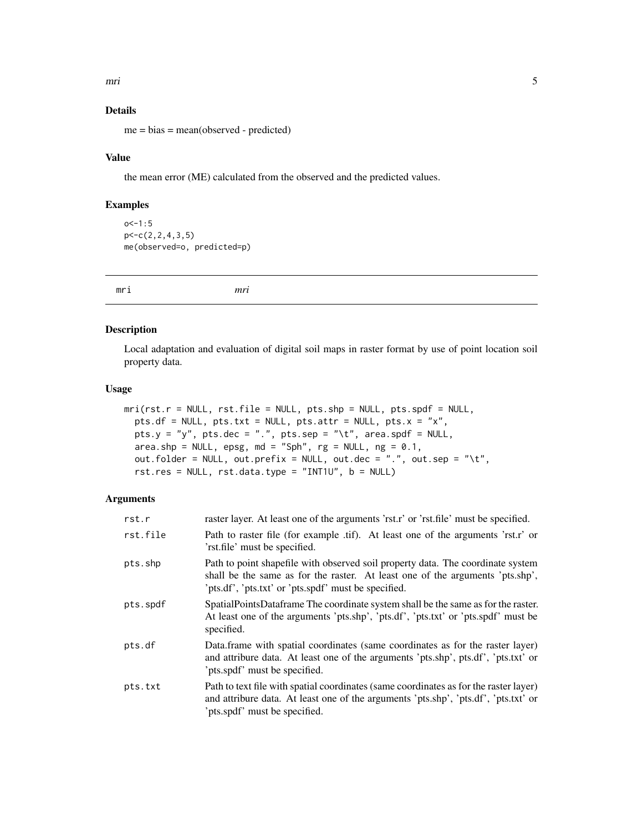<span id="page-4-0"></span>mri 500 km i 190 km i 190 km i 190 km i 190 km i 190 km i 190 km i 190 km i 190 km i 190 km i 190 km i 190 km

#### Details

me = bias = mean(observed - predicted)

#### Value

the mean error (ME) calculated from the observed and the predicted values.

#### Examples

```
o < -1:5p<-c(2,2,4,3,5)
me(observed=o, predicted=p)
```
mri *mri*

#### Description

Local adaptation and evaluation of digital soil maps in raster format by use of point location soil property data.

#### Usage

```
mri(rst.r = NULL, rst.file = NULL, pts.shp = NULL, pts.spdf = NULL,
 pts.df = NULL, pts.txt = NULL, pts.attr = NULL, pts.x = "x",
 pts.y = "y", pts.dec = ".", pts.sep = "\t", area.spdf = NULL,
  area.shp = NULL, epsg, md = "Sph", rg = NULL, ng = 0.1,
 out.folder = NULL, out.prefix = NULL, out.dec = ".", out.sep = "\t",
  rst.res = NULL, rst.data.type = "INT1U", b = NULL)
```
#### Arguments

| rst.r    | raster layer. At least one of the arguments 'rst.r' or 'rst.file' must be specified.                                                                                                                                     |
|----------|--------------------------------------------------------------------------------------------------------------------------------------------------------------------------------------------------------------------------|
| rst.file | Path to raster file (for example .tif). At least one of the arguments 'rst.r' or<br>'rst.file' must be specified.                                                                                                        |
| pts.shp  | Path to point shapefile with observed soil property data. The coordinate system<br>shall be the same as for the raster. At least one of the arguments 'pts.shp',<br>'pts.df', 'pts.txt' or 'pts.spdf' must be specified. |
| pts.spdf | SpatialPointsDataframe The coordinate system shall be the same as for the raster.<br>At least one of the arguments 'pts.shp', 'pts.df', 'pts.txt' or 'pts.spdf' must be<br>specified.                                    |
| pts.df   | Data frame with spatial coordinates (same coordinates as for the raster layer)<br>and attribure data. At least one of the arguments 'pts.shp', pts.df', 'pts.txt' or<br>'pts.spdf' must be specified.                    |
| pts.txt  | Path to text file with spatial coordinates (same coordinates as for the raster layer)<br>and attribure data. At least one of the arguments 'pts.shp', 'pts.df', 'pts.txt' or<br>'pts.spdf' must be specified.            |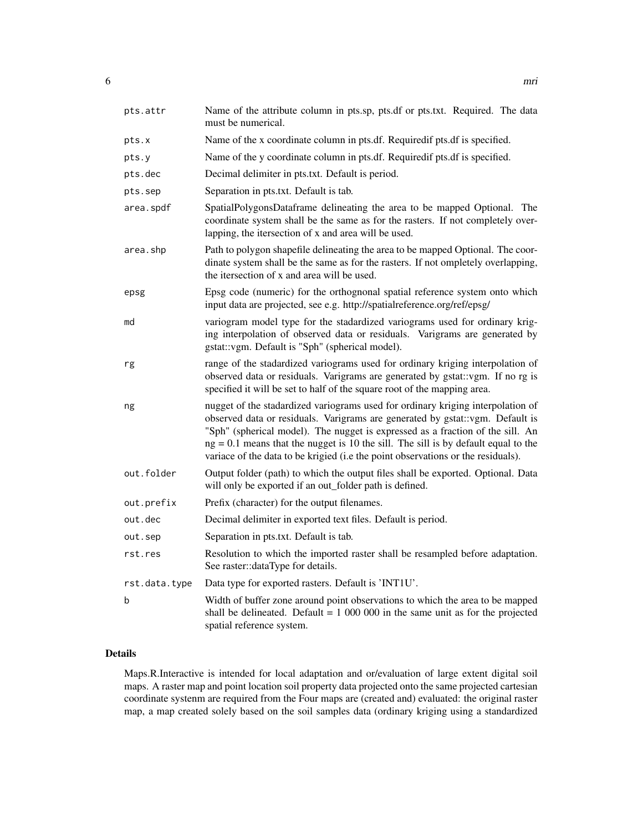| pts.attr      | Name of the attribute column in pts.sp, pts.df or pts.txt. Required. The data<br>must be numerical.                                                                                                                                                                                                                                                                                                                            |
|---------------|--------------------------------------------------------------------------------------------------------------------------------------------------------------------------------------------------------------------------------------------------------------------------------------------------------------------------------------------------------------------------------------------------------------------------------|
| pts.x         | Name of the x coordinate column in pts.df. Requiredif pts.df is specified.                                                                                                                                                                                                                                                                                                                                                     |
| pts.y         | Name of the y coordinate column in pts.df. Requiredif pts.df is specified.                                                                                                                                                                                                                                                                                                                                                     |
| pts.dec       | Decimal delimiter in pts.txt. Default is period.                                                                                                                                                                                                                                                                                                                                                                               |
| pts.sep       | Separation in pts.txt. Default is tab.                                                                                                                                                                                                                                                                                                                                                                                         |
| area.spdf     | SpatialPolygonsDataframe delineating the area to be mapped Optional. The<br>coordinate system shall be the same as for the rasters. If not completely over-<br>lapping, the itersection of x and area will be used.                                                                                                                                                                                                            |
| area.shp      | Path to polygon shapefile delineating the area to be mapped Optional. The coor-<br>dinate system shall be the same as for the rasters. If not ompletely overlapping,<br>the itersection of x and area will be used.                                                                                                                                                                                                            |
| epsg          | Epsg code (numeric) for the orthognonal spatial reference system onto which<br>input data are projected, see e.g. http://spatialreference.org/ref/epsg/                                                                                                                                                                                                                                                                        |
| md            | variogram model type for the stadardized variograms used for ordinary krig-<br>ing interpolation of observed data or residuals. Varigrams are generated by<br>gstat::vgm. Default is "Sph" (spherical model).                                                                                                                                                                                                                  |
| rg            | range of the stadardized variograms used for ordinary kriging interpolation of<br>observed data or residuals. Varigrams are generated by gstat: vgm. If no rg is<br>specified it will be set to half of the square root of the mapping area.                                                                                                                                                                                   |
| ng            | nugget of the stadardized variograms used for ordinary kriging interpolation of<br>observed data or residuals. Varigrams are generated by gstat: vgm. Default is<br>"Sph" (spherical model). The nugget is expressed as a fraction of the sill. An<br>$ng = 0.1$ means that the nugget is 10 the sill. The sill is by default equal to the<br>variace of the data to be krigied (i.e the point observations or the residuals). |
| out.folder    | Output folder (path) to which the output files shall be exported. Optional. Data<br>will only be exported if an out_folder path is defined.                                                                                                                                                                                                                                                                                    |
| out.prefix    | Prefix (character) for the output filenames.                                                                                                                                                                                                                                                                                                                                                                                   |
| out.dec       | Decimal delimiter in exported text files. Default is period.                                                                                                                                                                                                                                                                                                                                                                   |
| out.sep       | Separation in pts.txt. Default is tab.                                                                                                                                                                                                                                                                                                                                                                                         |
| rst.res       | Resolution to which the imported raster shall be resampled before adaptation.<br>See raster::dataType for details.                                                                                                                                                                                                                                                                                                             |
| rst.data.type | Data type for exported rasters. Default is 'INT1U'.                                                                                                                                                                                                                                                                                                                                                                            |
| b             | Width of buffer zone around point observations to which the area to be mapped<br>shall be delineated. Default = $1\,000\,000$ in the same unit as for the projected<br>spatial reference system.                                                                                                                                                                                                                               |

#### Details

Maps.R.Interactive is intended for local adaptation and or/evaluation of large extent digital soil maps. A raster map and point location soil property data projected onto the same projected cartesian coordinate systenm are required from the Four maps are (created and) evaluated: the original raster map, a map created solely based on the soil samples data (ordinary kriging using a standardized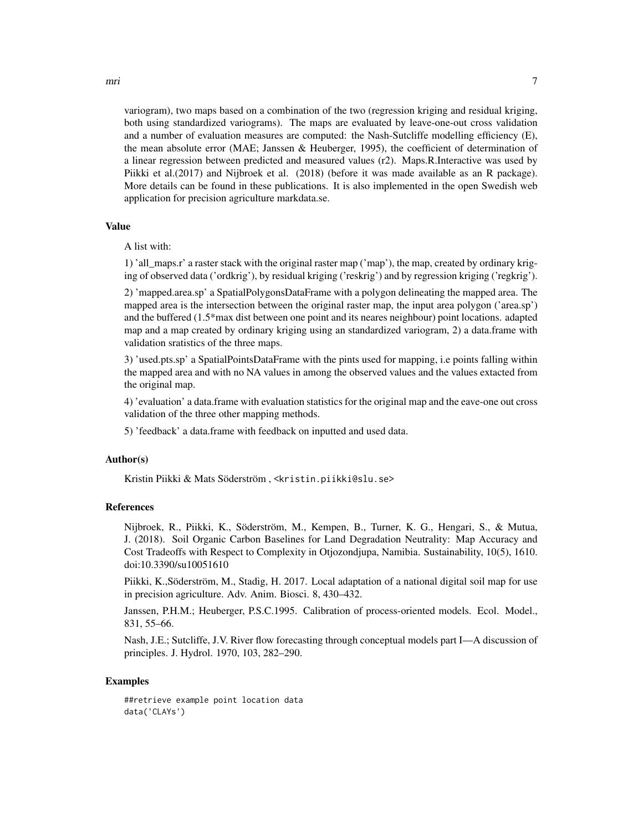variogram), two maps based on a combination of the two (regression kriging and residual kriging, both using standardized variograms). The maps are evaluated by leave-one-out cross validation and a number of evaluation measures are computed: the Nash-Sutcliffe modelling efficiency (E), the mean absolute error (MAE; Janssen & Heuberger, 1995), the coefficient of determination of a linear regression between predicted and measured values (r2). Maps.R.Interactive was used by Piikki et al.(2017) and Nijbroek et al. (2018) (before it was made available as an R package). More details can be found in these publications. It is also implemented in the open Swedish web application for precision agriculture markdata.se.

#### Value

A list with:

1) 'all\_maps.r' a raster stack with the original raster map ('map'), the map, created by ordinary kriging of observed data ('ordkrig'), by residual kriging ('reskrig') and by regression kriging ('regkrig').

2) 'mapped.area.sp' a SpatialPolygonsDataFrame with a polygon delineating the mapped area. The mapped area is the intersection between the original raster map, the input area polygon ('area.sp') and the buffered (1.5\*max dist between one point and its neares neighbour) point locations. adapted map and a map created by ordinary kriging using an standardized variogram, 2) a data.frame with validation sratistics of the three maps.

3) 'used.pts.sp' a SpatialPointsDataFrame with the pints used for mapping, i.e points falling within the mapped area and with no NA values in among the observed values and the values extacted from the original map.

4) 'evaluation' a data.frame with evaluation statistics for the original map and the eave-one out cross validation of the three other mapping methods.

5) 'feedback' a data.frame with feedback on inputted and used data.

#### Author(s)

Kristin Piikki & Mats Söderström , <kristin.piikki@slu.se>

#### References

Nijbroek, R., Piikki, K., Söderström, M., Kempen, B., Turner, K. G., Hengari, S., & Mutua, J. (2018). Soil Organic Carbon Baselines for Land Degradation Neutrality: Map Accuracy and Cost Tradeoffs with Respect to Complexity in Otjozondjupa, Namibia. Sustainability, 10(5), 1610. doi:10.3390/su10051610

Piikki, K.,Söderström, M., Stadig, H. 2017. Local adaptation of a national digital soil map for use in precision agriculture. Adv. Anim. Biosci. 8, 430–432.

Janssen, P.H.M.; Heuberger, P.S.C.1995. Calibration of process-oriented models. Ecol. Model., 831, 55–66.

Nash, J.E.; Sutcliffe, J.V. River flow forecasting through conceptual models part I—A discussion of principles. J. Hydrol. 1970, 103, 282–290.

#### Examples

##retrieve example point location data data('CLAYs')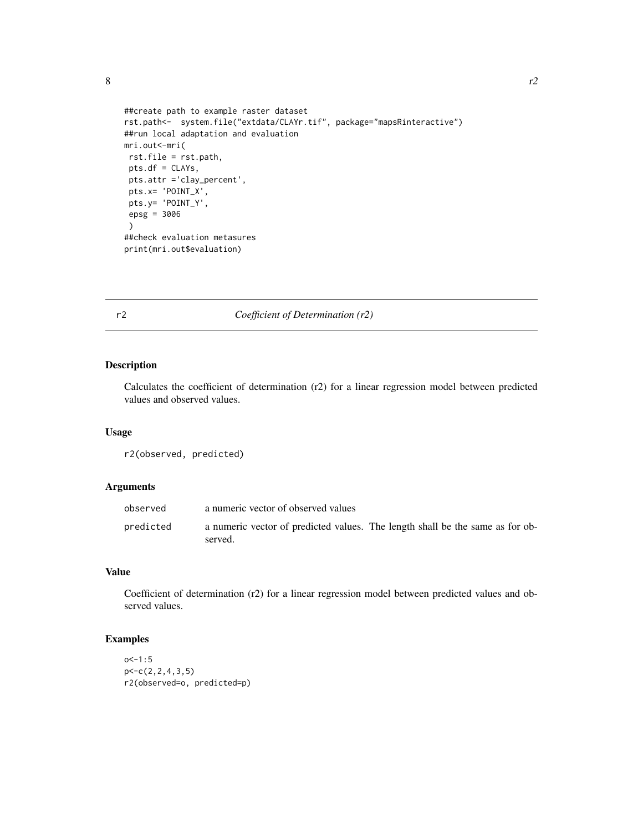```
##create path to example raster dataset
rst.path<- system.file("extdata/CLAYr.tif", package="mapsRinteractive")
##run local adaptation and evaluation
mri.out<-mri(
rst.file = rst.path,
 pts.df = CLAYs,
 pts.attr ='clay_percent',
 pts.x= 'POINT_X',
pts.y= 'POINT_Y',
 epsg = 3006
 )
##check evaluation metasures
print(mri.out$evaluation)
```
#### r2 *Coefficient of Determination (r2)*

#### Description

Calculates the coefficient of determination (r2) for a linear regression model between predicted values and observed values.

#### Usage

r2(observed, predicted)

#### Arguments

| observed  | a numeric vector of observed values                                                      |
|-----------|------------------------------------------------------------------------------------------|
| predicted | a numeric vector of predicted values. The length shall be the same as for ob-<br>served. |

#### Value

Coefficient of determination (r2) for a linear regression model between predicted values and observed values.

#### Examples

```
o<-1:5p < -c(2, 2, 4, 3, 5)r2(observed=o, predicted=p)
```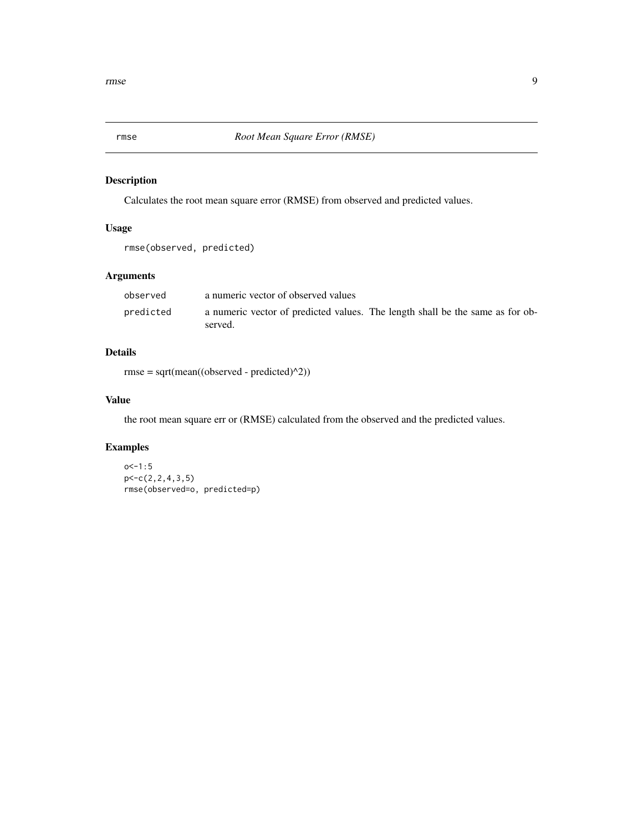<span id="page-8-0"></span>

Calculates the root mean square error (RMSE) from observed and predicted values.

#### Usage

rmse(observed, predicted)

#### Arguments

| observed  | a numeric vector of observed values                                                      |
|-----------|------------------------------------------------------------------------------------------|
| predicted | a numeric vector of predicted values. The length shall be the same as for ob-<br>served. |

#### Details

rmse = sqrt(mean((observed - predicted)^2))

#### Value

the root mean square err or (RMSE) calculated from the observed and the predicted values.

#### Examples

```
o < -1:5p<-c(2,2,4,3,5)
rmse(observed=o, predicted=p)
```